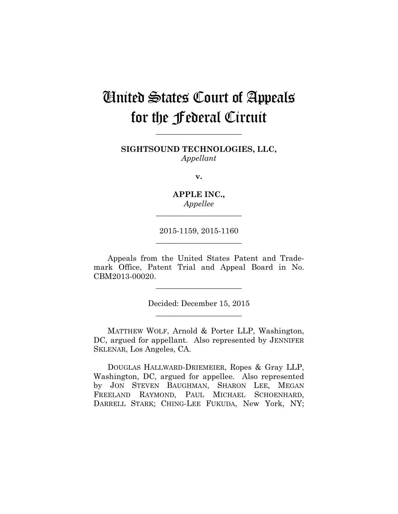# United States Court of Appeals for the Federal Circuit

**SIGHTSOUND TECHNOLOGIES, LLC,** *Appellant*

**\_\_\_\_\_\_\_\_\_\_\_\_\_\_\_\_\_\_\_\_\_\_** 

**v.**

**APPLE INC.,** *Appellee*

**\_\_\_\_\_\_\_\_\_\_\_\_\_\_\_\_\_\_\_\_\_\_** 

2015-1159, 2015-1160 **\_\_\_\_\_\_\_\_\_\_\_\_\_\_\_\_\_\_\_\_\_\_** 

Appeals from the United States Patent and Trademark Office, Patent Trial and Appeal Board in No. CBM2013-00020.

**\_\_\_\_\_\_\_\_\_\_\_\_\_\_\_\_\_\_\_\_\_\_** 

Decided: December 15, 2015 **\_\_\_\_\_\_\_\_\_\_\_\_\_\_\_\_\_\_\_\_\_\_** 

MATTHEW WOLF, Arnold & Porter LLP, Washington, DC, argued for appellant. Also represented by JENNIFER SKLENAR, Los Angeles, CA.

DOUGLAS HALLWARD-DRIEMEIER, Ropes & Gray LLP, Washington, DC, argued for appellee. Also represented by JON STEVEN BAUGHMAN, SHARON LEE, MEGAN FREELAND RAYMOND, PAUL MICHAEL SCHOENHARD, DARRELL STARK; CHING-LEE FUKUDA, New York, NY;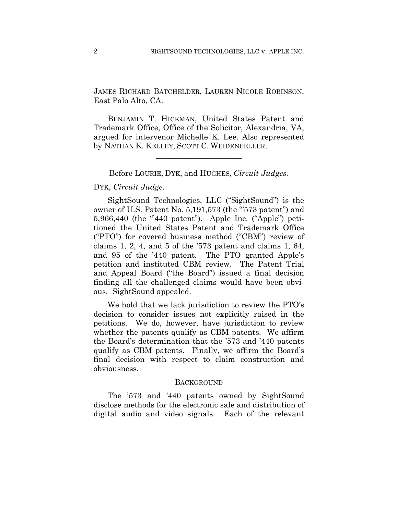JAMES RICHARD BATCHELDER, LAUREN NICOLE ROBINSON, East Palo Alto, CA.

BENJAMIN T. HICKMAN, United States Patent and Trademark Office, Office of the Solicitor, Alexandria, VA, argued for intervenor Michelle K. Lee. Also represented by NATHAN K. KELLEY, SCOTT C. WEIDENFELLER.

### Before LOURIE, DYK, and HUGHES, *Circuit Judges.*

**\_\_\_\_\_\_\_\_\_\_\_\_\_\_\_\_\_\_\_\_\_\_** 

# DYK, *Circuit Judge*.

SightSound Technologies, LLC ("SightSound") is the owner of U.S. Patent No. 5,191,573 (the "573 patent") and 5,966,440 (the "440 patent"). Apple Inc. ("Apple") petitioned the United States Patent and Trademark Office ("PTO") for covered business method ("CBM") review of claims 1, 2, 4, and 5 of the '573 patent and claims 1, 64, and 95 of the '440 patent. The PTO granted Apple's petition and instituted CBM review. The Patent Trial and Appeal Board ("the Board") issued a final decision finding all the challenged claims would have been obvious. SightSound appealed.

We hold that we lack jurisdiction to review the PTO's decision to consider issues not explicitly raised in the petitions. We do, however, have jurisdiction to review whether the patents qualify as CBM patents. We affirm the Board's determination that the '573 and '440 patents qualify as CBM patents. Finally, we affirm the Board's final decision with respect to claim construction and obviousness.

### **BACKGROUND**

The '573 and '440 patents owned by SightSound disclose methods for the electronic sale and distribution of digital audio and video signals. Each of the relevant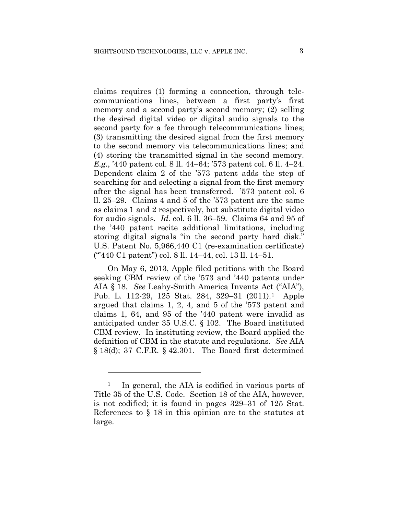claims requires (1) forming a connection, through telecommunications lines, between a first party's first memory and a second party's second memory; (2) selling the desired digital video or digital audio signals to the second party for a fee through telecommunications lines; (3) transmitting the desired signal from the first memory to the second memory via telecommunications lines; and (4) storing the transmitted signal in the second memory. *E.g.*, '440 patent col. 8 ll. 44–64; '573 patent col. 6 ll. 4–24. Dependent claim 2 of the '573 patent adds the step of searching for and selecting a signal from the first memory after the signal has been transferred. '573 patent col. 6 ll. 25–29. Claims 4 and 5 of the '573 patent are the same as claims 1 and 2 respectively, but substitute digital video for audio signals. *Id.* col. 6 ll. 36–59. Claims 64 and 95 of the '440 patent recite additional limitations, including storing digital signals "in the second party hard disk." U.S. Patent No. 5,966,440 C1 (re-examination certificate) ("'440 C1 patent") col. 8 ll. 14–44, col. 13 ll. 14–51.

On May 6, 2013, Apple filed petitions with the Board seeking CBM review of the '573 and '440 patents under AIA § 18. *See* Leahy-Smith America Invents Act ("AIA"), Pub. L. 112-29, 125 Stat. 284, 329–31 (2011).1 Apple argued that claims 1, 2, 4, and 5 of the '573 patent and claims 1, 64, and 95 of the '440 patent were invalid as anticipated under 35 U.S.C. § 102. The Board instituted CBM review. In instituting review, the Board applied the definition of CBM in the statute and regulations. *See* AIA  $\S 18(d)$ ; 37 C.F.R.  $\S 42.301$ . The Board first determined

1

<sup>&</sup>lt;sup>1</sup> In general, the AIA is codified in various parts of Title 35 of the U.S. Code. Section 18 of the AIA, however, is not codified; it is found in pages 329–31 of 125 Stat. References to § 18 in this opinion are to the statutes at large.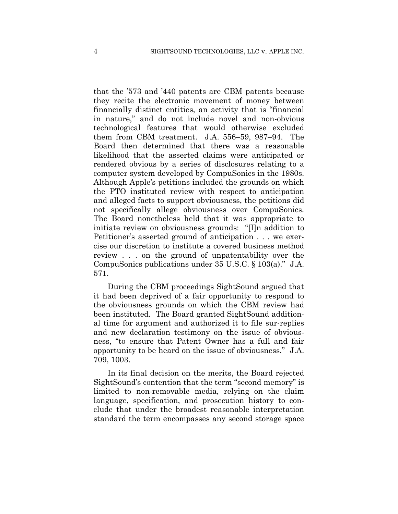that the '573 and '440 patents are CBM patents because they recite the electronic movement of money between financially distinct entities, an activity that is "financial in nature," and do not include novel and non-obvious technological features that would otherwise excluded them from CBM treatment. J.A. 556–59, 987–94. The Board then determined that there was a reasonable likelihood that the asserted claims were anticipated or rendered obvious by a series of disclosures relating to a computer system developed by CompuSonics in the 1980s. Although Apple's petitions included the grounds on which the PTO instituted review with respect to anticipation and alleged facts to support obviousness, the petitions did not specifically allege obviousness over CompuSonics. The Board nonetheless held that it was appropriate to initiate review on obviousness grounds: "[I]n addition to Petitioner's asserted ground of anticipation . . . we exercise our discretion to institute a covered business method review . . . on the ground of unpatentability over the CompuSonics publications under 35 U.S.C. § 103(a)." J.A. 571.

During the CBM proceedings SightSound argued that it had been deprived of a fair opportunity to respond to the obviousness grounds on which the CBM review had been instituted. The Board granted SightSound additional time for argument and authorized it to file sur-replies and new declaration testimony on the issue of obviousness, "to ensure that Patent Owner has a full and fair opportunity to be heard on the issue of obviousness." J.A. 709, 1003.

In its final decision on the merits, the Board rejected SightSound's contention that the term "second memory" is limited to non-removable media, relying on the claim language, specification, and prosecution history to conclude that under the broadest reasonable interpretation standard the term encompasses any second storage space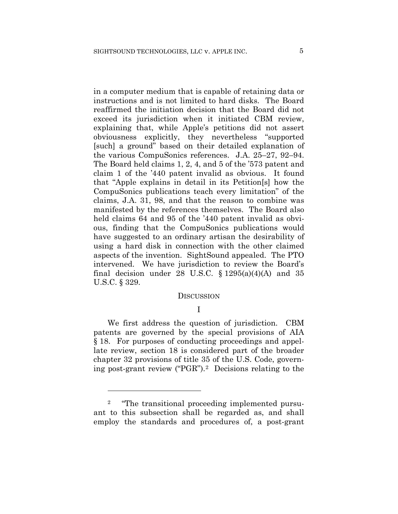in a computer medium that is capable of retaining data or instructions and is not limited to hard disks. The Board reaffirmed the initiation decision that the Board did not exceed its jurisdiction when it initiated CBM review, explaining that, while Apple's petitions did not assert obviousness explicitly, they nevertheless "supported [such] a ground" based on their detailed explanation of the various CompuSonics references. J.A. 25–27, 92–94. The Board held claims 1, 2, 4, and 5 of the '573 patent and claim 1 of the '440 patent invalid as obvious. It found that "Apple explains in detail in its Petition[s] how the CompuSonics publications teach every limitation" of the claims, J.A. 31, 98, and that the reason to combine was manifested by the references themselves. The Board also held claims 64 and 95 of the '440 patent invalid as obvious, finding that the CompuSonics publications would have suggested to an ordinary artisan the desirability of using a hard disk in connection with the other claimed aspects of the invention. SightSound appealed. The PTO intervened. We have jurisdiction to review the Board's final decision under 28 U.S.C.  $\S 1295(a)(4)(A)$  and 35 U.S.C. § 329.

#### DISCUSSION

# I

We first address the question of jurisdiction. CBM patents are governed by the special provisions of AIA § 18. For purposes of conducting proceedings and appellate review, section 18 is considered part of the broader chapter 32 provisions of title 35 of the U.S. Code, governing post-grant review ("PGR").2 Decisions relating to the

1

<sup>&</sup>lt;sup>2</sup> "The transitional proceeding implemented pursuant to this subsection shall be regarded as, and shall employ the standards and procedures of, a post-grant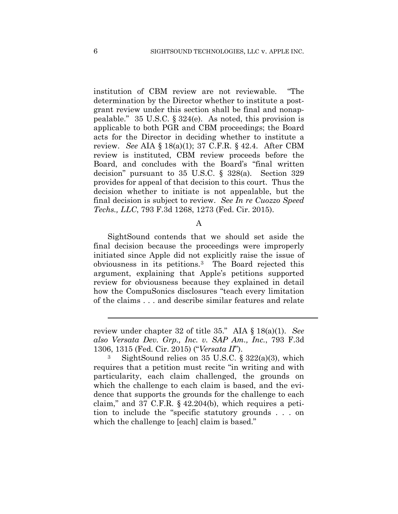institution of CBM review are not reviewable. "The determination by the Director whether to institute a postgrant review under this section shall be final and nonappealable." 35 U.S.C. § 324(e). As noted, this provision is applicable to both PGR and CBM proceedings; the Board acts for the Director in deciding whether to institute a review. *See* AIA § 18(a)(1); 37 C.F.R. § 42.4. After CBM review is instituted, CBM review proceeds before the Board, and concludes with the Board's "final written decision" pursuant to 35 U.S.C. § 328(a). Section 329 provides for appeal of that decision to this court. Thus the decision whether to initiate is not appealable, but the final decision is subject to review. *See In re Cuozzo Speed Techs., LLC*, 793 F.3d 1268, 1273 (Fed. Cir. 2015).

### A

 SightSound contends that we should set aside the final decision because the proceedings were improperly initiated since Apple did not explicitly raise the issue of obviousness in its petitions.3 The Board rejected this argument, explaining that Apple's petitions supported review for obviousness because they explained in detail how the CompuSonics disclosures "teach every limitation of the claims . . . and describe similar features and relate

l

review under chapter 32 of title 35." AIA § 18(a)(1). *See also Versata Dev. Grp., Inc. v. SAP Am., Inc.*, 793 F.3d 1306, 1315 (Fed. Cir. 2015) ("*Versata II*").

<sup>3</sup> SightSound relies on 35 U.S.C. § 322(a)(3), which requires that a petition must recite "in writing and with particularity, each claim challenged, the grounds on which the challenge to each claim is based, and the evidence that supports the grounds for the challenge to each claim," and 37 C.F.R. § 42.204(b), which requires a petition to include the "specific statutory grounds . . . on which the challenge to [each] claim is based."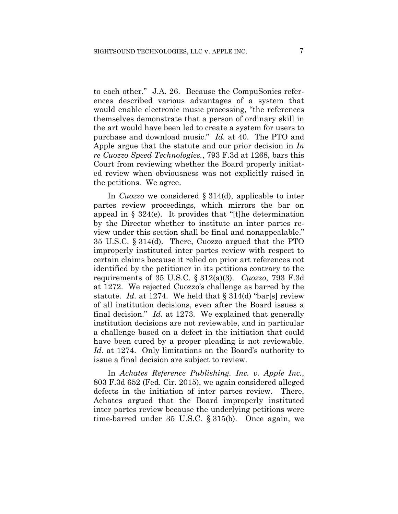to each other." J.A. 26. Because the CompuSonics references described various advantages of a system that would enable electronic music processing, "the references themselves demonstrate that a person of ordinary skill in the art would have been led to create a system for users to purchase and download music." *Id.* at 40. The PTO and Apple argue that the statute and our prior decision in *In re Cuozzo Speed Technologies.*, 793 F.3d at 1268, bars this Court from reviewing whether the Board properly initiated review when obviousness was not explicitly raised in the petitions. We agree.

In *Cuozzo* we considered § 314(d), applicable to inter partes review proceedings, which mirrors the bar on appeal in  $\S 324(e)$ . It provides that "[t]he determination by the Director whether to institute an inter partes review under this section shall be final and nonappealable." 35 U.S.C. § 314(d). There, Cuozzo argued that the PTO improperly instituted inter partes review with respect to certain claims because it relied on prior art references not identified by the petitioner in its petitions contrary to the requirements of 35 U.S.C. § 312(a)(3). *Cuozzo*, 793 F.3d at 1272. We rejected Cuozzo's challenge as barred by the statute. *Id.* at 1274. We held that § 314(d) "bar[s] review of all institution decisions, even after the Board issues a final decision." *Id.* at 1273. We explained that generally institution decisions are not reviewable, and in particular a challenge based on a defect in the initiation that could have been cured by a proper pleading is not reviewable. *Id.* at 1274. Only limitations on the Board's authority to issue a final decision are subject to review.

 In *Achates Reference Publishing. Inc. v. Apple Inc.*, 803 F.3d 652 (Fed. Cir. 2015), we again considered alleged defects in the initiation of inter partes review. There, Achates argued that the Board improperly instituted inter partes review because the underlying petitions were time-barred under 35 U.S.C. § 315(b). Once again, we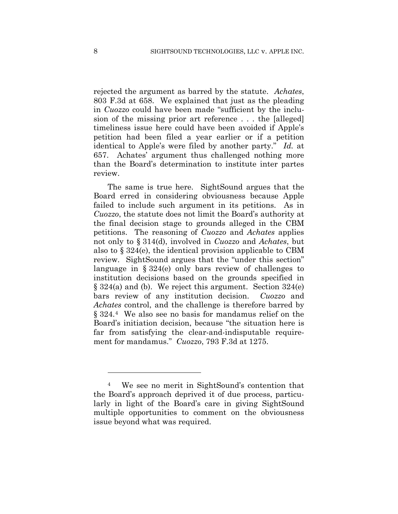rejected the argument as barred by the statute. *Achates*, 803 F.3d at 658. We explained that just as the pleading in *Cuozzo* could have been made "sufficient by the inclusion of the missing prior art reference . . . the [alleged] timeliness issue here could have been avoided if Apple's petition had been filed a year earlier or if a petition identical to Apple's were filed by another party." *Id.* at 657. Achates' argument thus challenged nothing more than the Board's determination to institute inter partes review.

The same is true here. SightSound argues that the Board erred in considering obviousness because Apple failed to include such argument in its petitions. As in *Cuozzo*, the statute does not limit the Board's authority at the final decision stage to grounds alleged in the CBM petitions. The reasoning of *Cuozzo* and *Achates* applies not only to § 314(d), involved in *Cuozzo* and *Achates*, but also to § 324(e), the identical provision applicable to CBM review. SightSound argues that the "under this section" language in § 324(e) only bars review of challenges to institution decisions based on the grounds specified in § 324(a) and (b). We reject this argument. Section 324(e) bars review of any institution decision. *Cuozzo* and *Achates* control, and the challenge is therefore barred by § 324.4 We also see no basis for mandamus relief on the Board's initiation decision, because "the situation here is far from satisfying the clear-and-indisputable requirement for mandamus." *Cuozzo*, 793 F.3d at 1275.

1

<sup>4</sup> We see no merit in SightSound's contention that the Board's approach deprived it of due process, particularly in light of the Board's care in giving SightSound multiple opportunities to comment on the obviousness issue beyond what was required.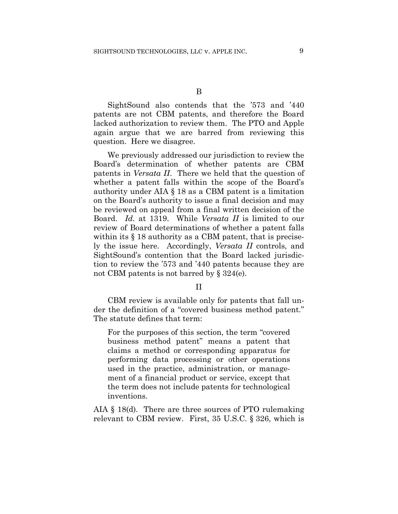B

SightSound also contends that the '573 and '440 patents are not CBM patents, and therefore the Board lacked authorization to review them. The PTO and Apple again argue that we are barred from reviewing this question. Here we disagree.

We previously addressed our jurisdiction to review the Board's determination of whether patents are CBM patents in *Versata II*. There we held that the question of whether a patent falls within the scope of the Board's authority under AIA § 18 as a CBM patent is a limitation on the Board's authority to issue a final decision and may be reviewed on appeal from a final written decision of the Board. *Id.* at 1319. While *Versata II* is limited to our review of Board determinations of whether a patent falls within its  $\S 18$  authority as a CBM patent, that is precisely the issue here. Accordingly, *Versata II* controls, and SightSound's contention that the Board lacked jurisdiction to review the '573 and '440 patents because they are not CBM patents is not barred by § 324(e).

## II

CBM review is available only for patents that fall under the definition of a "covered business method patent." The statute defines that term:

For the purposes of this section, the term "covered business method patent" means a patent that claims a method or corresponding apparatus for performing data processing or other operations used in the practice, administration, or management of a financial product or service, except that the term does not include patents for technological inventions.

AIA § 18(d). There are three sources of PTO rulemaking relevant to CBM review. First, 35 U.S.C. § 326, which is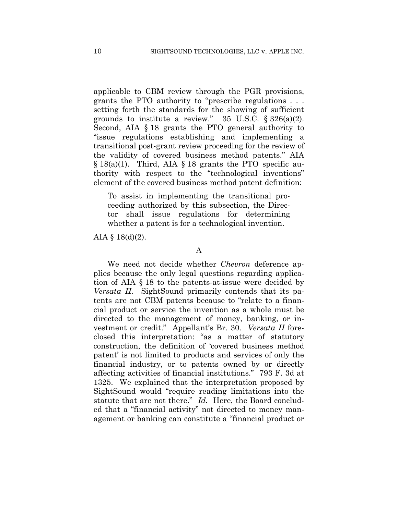applicable to CBM review through the PGR provisions, grants the PTO authority to "prescribe regulations . . . setting forth the standards for the showing of sufficient grounds to institute a review."  $35 \text{ U.S.C. }$   $\S 326(a)(2)$ . Second, AIA § 18 grants the PTO general authority to "issue regulations establishing and implementing a transitional post-grant review proceeding for the review of the validity of covered business method patents." AIA  $\S 18(a)(1)$ . Third, AIA  $\S 18$  grants the PTO specific authority with respect to the "technological inventions" element of the covered business method patent definition:

To assist in implementing the transitional proceeding authorized by this subsection, the Director shall issue regulations for determining whether a patent is for a technological invention.

AIA §  $18(d)(2)$ .

#### A

We need not decide whether *Chevron* deference applies because the only legal questions regarding application of AIA § 18 to the patents-at-issue were decided by *Versata II*. SightSound primarily contends that its patents are not CBM patents because to "relate to a financial product or service the invention as a whole must be directed to the management of money, banking, or investment or credit." Appellant's Br. 30. *Versata II* foreclosed this interpretation: "as a matter of statutory construction, the definition of 'covered business method patent' is not limited to products and services of only the financial industry, or to patents owned by or directly affecting activities of financial institutions." 793 F. 3d at 1325. We explained that the interpretation proposed by SightSound would "require reading limitations into the statute that are not there." *Id.* Here, the Board concluded that a "financial activity" not directed to money management or banking can constitute a "financial product or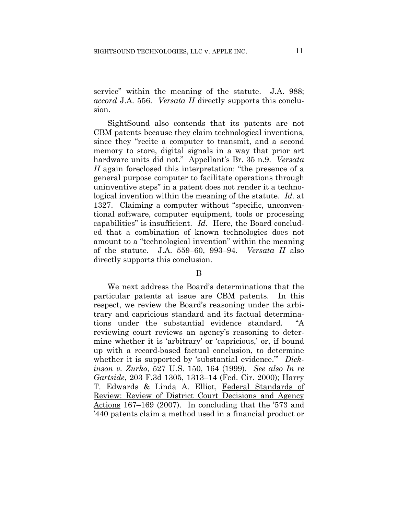service" within the meaning of the statute. J.A. 988; *accord* J.A. 556. *Versata II* directly supports this conclusion.

SightSound also contends that its patents are not CBM patents because they claim technological inventions, since they "recite a computer to transmit, and a second memory to store, digital signals in a way that prior art hardware units did not." Appellant's Br. 35 n.9. *Versata II* again foreclosed this interpretation: "the presence of a general purpose computer to facilitate operations through uninventive steps" in a patent does not render it a technological invention within the meaning of the statute. *Id.* at 1327. Claiming a computer without "specific, unconventional software, computer equipment, tools or processing capabilities" is insufficient. *Id.* Here, the Board concluded that a combination of known technologies does not amount to a "technological invention" within the meaning of the statute. J.A. 559–60, 993–94. *Versata II* also directly supports this conclusion.

#### B

We next address the Board's determinations that the particular patents at issue are CBM patents. In this respect, we review the Board's reasoning under the arbitrary and capricious standard and its factual determinations under the substantial evidence standard. "A reviewing court reviews an agency's reasoning to determine whether it is 'arbitrary' or 'capricious,' or, if bound up with a record-based factual conclusion, to determine whether it is supported by 'substantial evidence.'" *Dickinson v. Zurko*, 527 U.S. 150, 164 (1999). *See also In re Gartside*, 203 F.3d 1305, 1313–14 (Fed. Cir. 2000); Harry T. Edwards & Linda A. Elliot, Federal Standards of Review: Review of District Court Decisions and Agency Actions 167–169 (2007). In concluding that the '573 and '440 patents claim a method used in a financial product or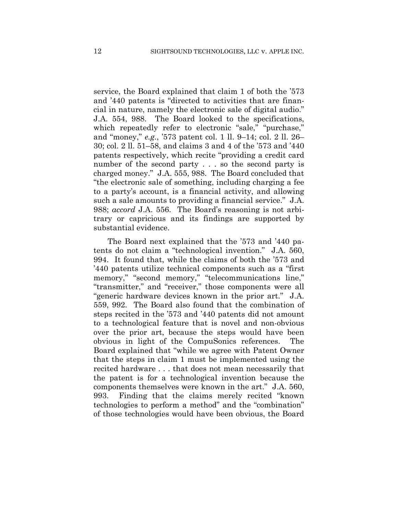service, the Board explained that claim 1 of both the '573 and '440 patents is "directed to activities that are financial in nature, namely the electronic sale of digital audio." J.A. 554, 988. The Board looked to the specifications, which repeatedly refer to electronic "sale," "purchase," and "money," *e.g.*, '573 patent col. 1 ll. 9–14; col. 2 ll. 26– 30; col. 2 ll. 51–58, and claims 3 and 4 of the '573 and '440 patents respectively, which recite "providing a credit card number of the second party . . . so the second party is charged money." J.A. 555, 988. The Board concluded that "the electronic sale of something, including charging a fee to a party's account, is a financial activity, and allowing such a sale amounts to providing a financial service." J.A. 988; *accord* J.A. 556. The Board's reasoning is not arbitrary or capricious and its findings are supported by substantial evidence.

The Board next explained that the '573 and '440 patents do not claim a "technological invention." J.A. 560, 994. It found that, while the claims of both the '573 and '440 patents utilize technical components such as a "first memory," "second memory," "telecommunications line," "transmitter," and "receiver," those components were all "generic hardware devices known in the prior art." J.A. 559, 992. The Board also found that the combination of steps recited in the '573 and '440 patents did not amount to a technological feature that is novel and non-obvious over the prior art, because the steps would have been obvious in light of the CompuSonics references. The Board explained that "while we agree with Patent Owner that the steps in claim 1 must be implemented using the recited hardware . . . that does not mean necessarily that the patent is for a technological invention because the components themselves were known in the art." J.A. 560, 993. Finding that the claims merely recited "known technologies to perform a method" and the "combination" of those technologies would have been obvious, the Board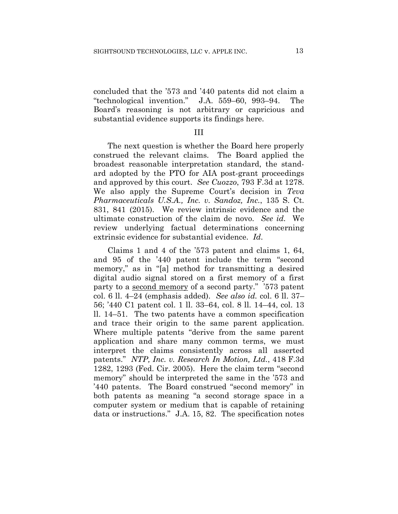concluded that the '573 and '440 patents did not claim a "technological invention." J.A. 559–60, 993–94. The Board's reasoning is not arbitrary or capricious and substantial evidence supports its findings here.

### III

The next question is whether the Board here properly construed the relevant claims. The Board applied the broadest reasonable interpretation standard, the standard adopted by the PTO for AIA post-grant proceedings and approved by this court. *See Cuozzo*, 793 F.3d at 1278. We also apply the Supreme Court's decision in *Teva Pharmaceuticals U.S.A., Inc. v. Sandoz, Inc.*, 135 S. Ct. 831, 841 (2015). We review intrinsic evidence and the ultimate construction of the claim de novo. *See id.* We review underlying factual determinations concerning extrinsic evidence for substantial evidence. *Id*.

Claims 1 and 4 of the '573 patent and claims 1, 64, and 95 of the '440 patent include the term "second memory," as in "[a] method for transmitting a desired digital audio signal stored on a first memory of a first party to a second memory of a second party." '573 patent col. 6 ll. 4–24 (emphasis added). *See also id.* col. 6 ll. 37– 56; '440 C1 patent col. 1 ll. 33–64, col. 8 ll. 14–44, col. 13 ll. 14–51. The two patents have a common specification and trace their origin to the same parent application. Where multiple patents "derive from the same parent application and share many common terms, we must interpret the claims consistently across all asserted patents." *NTP, Inc. v. Research In Motion, Ltd.*, 418 F.3d 1282, 1293 (Fed. Cir. 2005). Here the claim term "second memory" should be interpreted the same in the '573 and '440 patents. The Board construed "second memory" in both patents as meaning "a second storage space in a computer system or medium that is capable of retaining data or instructions." J.A. 15, 82. The specification notes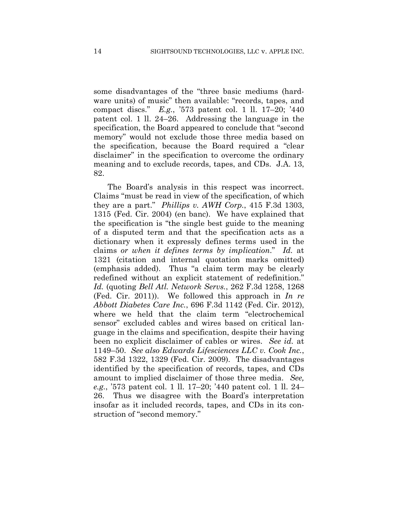some disadvantages of the "three basic mediums (hardware units) of music" then available: "records, tapes, and compact discs." *E.g.*, '573 patent col. 1 ll. 17–20; '440 patent col. 1 ll. 24–26. Addressing the language in the specification, the Board appeared to conclude that "second memory" would not exclude those three media based on the specification, because the Board required a "clear disclaimer" in the specification to overcome the ordinary meaning and to exclude records, tapes, and CDs. J.A. 13, 82.

The Board's analysis in this respect was incorrect. Claims "must be read in view of the specification, of which they are a part." *Phillips v. AWH Corp.*, 415 F.3d 1303, 1315 (Fed. Cir. 2004) (en banc). We have explained that the specification is "the single best guide to the meaning of a disputed term and that the specification acts as a dictionary when it expressly defines terms used in the claims *or when it defines terms by implication*." *Id.* at 1321 (citation and internal quotation marks omitted) (emphasis added). Thus "a claim term may be clearly redefined without an explicit statement of redefinition." *Id.* (quoting *Bell Atl. Network Servs.*, 262 F.3d 1258, 1268 (Fed. Cir. 2011)). We followed this approach in *In re Abbott Diabetes Care Inc.*, 696 F.3d 1142 (Fed. Cir. 2012), where we held that the claim term "electrochemical sensor" excluded cables and wires based on critical language in the claims and specification, despite their having been no explicit disclaimer of cables or wires. *See id.* at 1149–50. *See also Edwards Lifesciences LLC v. Cook Inc.*, 582 F.3d 1322, 1329 (Fed. Cir. 2009). The disadvantages identified by the specification of records, tapes, and CDs amount to implied disclaimer of those three media. *See, e.g.*, '573 patent col. 1 ll. 17–20; '440 patent col. 1 ll. 24– 26. Thus we disagree with the Board's interpretation insofar as it included records, tapes, and CDs in its construction of "second memory."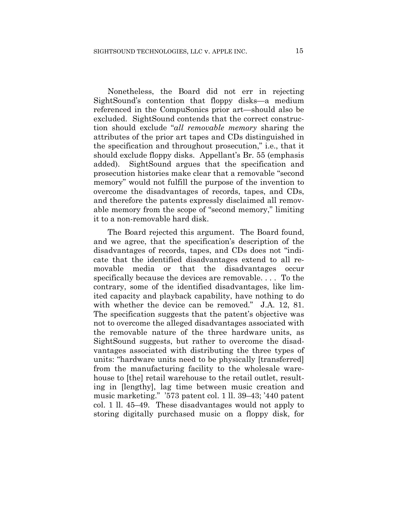Nonetheless, the Board did not err in rejecting SightSound's contention that floppy disks—a medium referenced in the CompuSonics prior art—should also be excluded. SightSound contends that the correct construction should exclude "*all removable memory* sharing the attributes of the prior art tapes and CDs distinguished in the specification and throughout prosecution," i.e., that it should exclude floppy disks. Appellant's Br. 55 (emphasis added). SightSound argues that the specification and prosecution histories make clear that a removable "second memory" would not fulfill the purpose of the invention to overcome the disadvantages of records, tapes, and CDs, and therefore the patents expressly disclaimed all removable memory from the scope of "second memory," limiting it to a non-removable hard disk.

The Board rejected this argument. The Board found, and we agree, that the specification's description of the disadvantages of records, tapes, and CDs does not "indicate that the identified disadvantages extend to all removable media or that the disadvantages occur specifically because the devices are removable. . . . To the contrary, some of the identified disadvantages, like limited capacity and playback capability, have nothing to do with whether the device can be removed." J.A. 12, 81. The specification suggests that the patent's objective was not to overcome the alleged disadvantages associated with the removable nature of the three hardware units, as SightSound suggests, but rather to overcome the disadvantages associated with distributing the three types of units: "hardware units need to be physically [transferred] from the manufacturing facility to the wholesale warehouse to [the] retail warehouse to the retail outlet, resulting in [lengthy], lag time between music creation and music marketing." '573 patent col. 1 ll. 39–43; '440 patent col. 1 ll. 45–49. These disadvantages would not apply to storing digitally purchased music on a floppy disk, for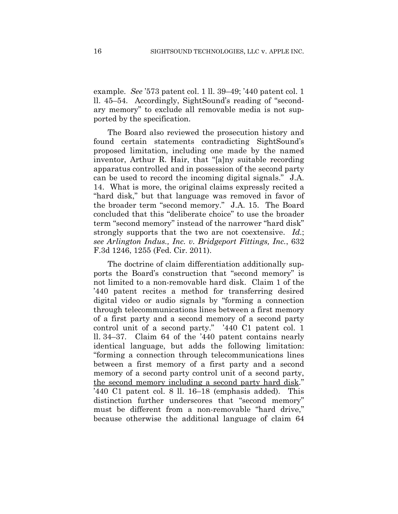example. *See* '573 patent col. 1 ll. 39–49; '440 patent col. 1 ll. 45–54. Accordingly, SightSound's reading of "secondary memory" to exclude all removable media is not supported by the specification.

The Board also reviewed the prosecution history and found certain statements contradicting SightSound's proposed limitation, including one made by the named inventor, Arthur R. Hair, that "[a]ny suitable recording apparatus controlled and in possession of the second party can be used to record the incoming digital signals." J.A. 14. What is more, the original claims expressly recited a "hard disk," but that language was removed in favor of the broader term "second memory." J.A. 15. The Board concluded that this "deliberate choice" to use the broader term "second memory" instead of the narrower "hard disk" strongly supports that the two are not coextensive. *Id.*; *see Arlington Indus., Inc. v. Bridgeport Fittings, Inc.*, 632 F.3d 1246, 1255 (Fed. Cir. 2011).

The doctrine of claim differentiation additionally supports the Board's construction that "second memory" is not limited to a non-removable hard disk. Claim 1 of the '440 patent recites a method for transferring desired digital video or audio signals by "forming a connection through telecommunications lines between a first memory of a first party and a second memory of a second party control unit of a second party." '440 C1 patent col. 1 ll. 34–37. Claim 64 of the '440 patent contains nearly identical language, but adds the following limitation: "forming a connection through telecommunications lines between a first memory of a first party and a second memory of a second party control unit of a second party, the second memory including a second party hard disk." '440 C1 patent col. 8 ll. 16–18 (emphasis added). This distinction further underscores that "second memory" must be different from a non-removable "hard drive," because otherwise the additional language of claim 64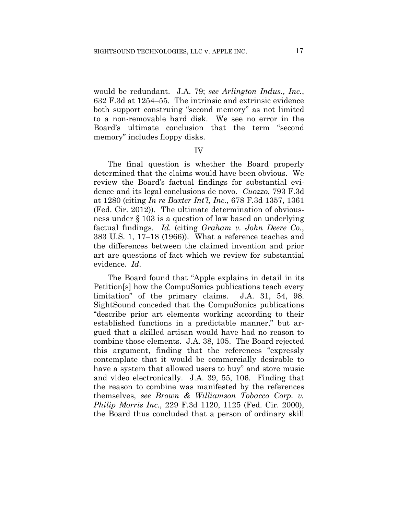would be redundant. J.A. 79; *see Arlington Indus., Inc.*, 632 F.3d at 1254–55. The intrinsic and extrinsic evidence both support construing "second memory" as not limited to a non-removable hard disk. We see no error in the Board's ultimate conclusion that the term "second memory" includes floppy disks.

IV

The final question is whether the Board properly determined that the claims would have been obvious. We review the Board's factual findings for substantial evidence and its legal conclusions de novo. *Cuozzo*, 793 F.3d at 1280 (citing *In re Baxter Int'l, Inc.*, 678 F.3d 1357, 1361 (Fed. Cir. 2012)). The ultimate determination of obviousness under § 103 is a question of law based on underlying factual findings. *Id.* (citing *Graham v. John Deere Co.*, 383 U.S. 1, 17–18 (1966)). What a reference teaches and the differences between the claimed invention and prior art are questions of fact which we review for substantial evidence. *Id*.

The Board found that "Apple explains in detail in its Petition[s] how the CompuSonics publications teach every limitation" of the primary claims. J.A. 31, 54, 98. SightSound conceded that the CompuSonics publications "describe prior art elements working according to their established functions in a predictable manner," but argued that a skilled artisan would have had no reason to combine those elements. J.A. 38, 105. The Board rejected this argument, finding that the references "expressly contemplate that it would be commercially desirable to have a system that allowed users to buy" and store music and video electronically. J.A. 39, 55, 106. Finding that the reason to combine was manifested by the references themselves, *see Brown & Williamson Tobacco Corp. v. Philip Morris Inc.*, 229 F.3d 1120, 1125 (Fed. Cir. 2000), the Board thus concluded that a person of ordinary skill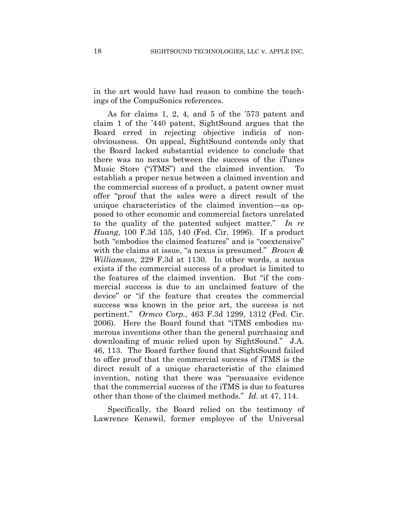in the art would have had reason to combine the teachings of the CompuSonics references.

As for claims 1, 2, 4, and 5 of the '573 patent and claim 1 of the '440 patent, SightSound argues that the Board erred in rejecting objective indicia of nonobviousness. On appeal, SightSound contends only that the Board lacked substantial evidence to conclude that there was no nexus between the success of the iTunes Music Store ("iTMS") and the claimed invention. To establish a proper nexus between a claimed invention and the commercial success of a product, a patent owner must offer "proof that the sales were a direct result of the unique characteristics of the claimed invention—as opposed to other economic and commercial factors unrelated to the quality of the patented subject matter." *In re Huang*, 100 F.3d 135, 140 (Fed. Cir. 1996). If a product both "embodies the claimed features" and is "coextensive" with the claims at issue, "a nexus is presumed." *Brown & Williamson*, 229 F.3d at 1130. In other words, a nexus exists if the commercial success of a product is limited to the features of the claimed invention. But "if the commercial success is due to an unclaimed feature of the device" or "if the feature that creates the commercial success was known in the prior art, the success is not pertinent." *Ormco Corp.*, 463 F.3d 1299, 1312 (Fed. Cir. 2006). Here the Board found that "iTMS embodies numerous inventions other than the general purchasing and downloading of music relied upon by SightSound." J.A. 46, 113. The Board further found that SightSound failed to offer proof that the commercial success of iTMS is the direct result of a unique characteristic of the claimed invention, noting that there was "persuasive evidence that the commercial success of the iTMS is due to features other than those of the claimed methods." *Id.* at 47, 114.

Specifically, the Board relied on the testimony of Lawrence Kenswil, former employee of the Universal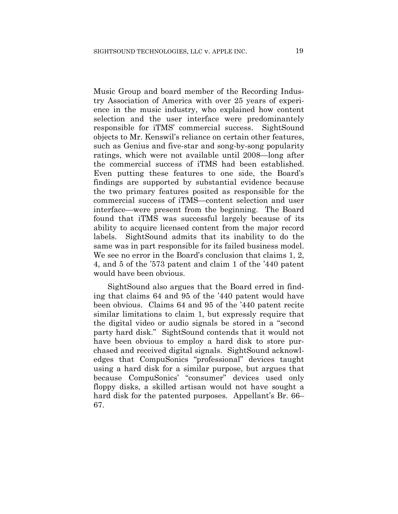Music Group and board member of the Recording Industry Association of America with over 25 years of experience in the music industry, who explained how content selection and the user interface were predominantely responsible for iTMS' commercial success. SightSound objects to Mr. Kenswil's reliance on certain other features, such as Genius and five-star and song-by-song popularity ratings, which were not available until 2008—long after the commercial success of iTMS had been established. Even putting these features to one side, the Board's findings are supported by substantial evidence because the two primary features posited as responsible for the commercial success of iTMS—content selection and user interface—were present from the beginning. The Board found that iTMS was successful largely because of its ability to acquire licensed content from the major record labels. SightSound admits that its inability to do the same was in part responsible for its failed business model. We see no error in the Board's conclusion that claims 1, 2, 4, and 5 of the '573 patent and claim 1 of the '440 patent would have been obvious.

SightSound also argues that the Board erred in finding that claims 64 and 95 of the '440 patent would have been obvious. Claims 64 and 95 of the '440 patent recite similar limitations to claim 1, but expressly require that the digital video or audio signals be stored in a "second party hard disk." SightSound contends that it would not have been obvious to employ a hard disk to store purchased and received digital signals. SightSound acknowledges that CompuSonics "professional" devices taught using a hard disk for a similar purpose, but argues that because CompuSonics' "consumer" devices used only floppy disks, a skilled artisan would not have sought a hard disk for the patented purposes. Appellant's Br. 66– 67.